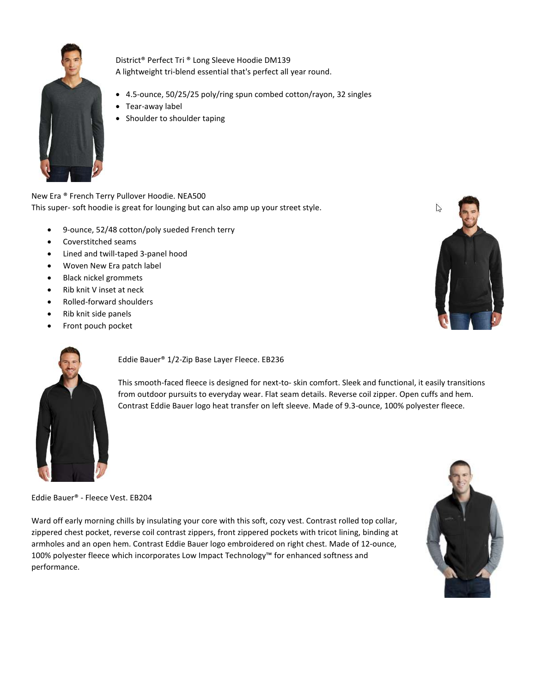

District® Perfect Tri ® Long Sleeve Hoodie DM139 A lightweight tri-blend essential that's perfect all year round.

- 4.5-ounce, 50/25/25 poly/ring spun combed cotton/rayon, 32 singles
- Tear-away label
- Shoulder to shoulder taping

New Era ® French Terry Pullover Hoodie. NEA500 This super- soft hoodie is great for lounging but can also amp up your street style.

- 9-ounce, 52/48 cotton/poly sueded French terry
- Coverstitched seams
- Lined and twill-taped 3-panel hood
- Woven New Era patch label
- Black nickel grommets
- Rib knit V inset at neck
- Rolled-forward shoulders
- Rib knit side panels
- Front pouch pocket





Eddie Bauer® 1/2-Zip Base Layer Fleece. EB236

This smooth-faced fleece is designed for next-to- skin comfort. Sleek and functional, it easily transitions from outdoor pursuits to everyday wear. Flat seam details. Reverse coil zipper. Open cuffs and hem. Contrast Eddie Bauer logo heat transfer on left sleeve. Made of 9.3-ounce, 100% polyester fleece.

Eddie Bauer® - Fleece Vest. EB204

Ward off early morning chills by insulating your core with this soft, cozy vest. Contrast rolled top collar, zippered chest pocket, reverse coil contrast zippers, front zippered pockets with tricot lining, binding at armholes and an open hem. Contrast Eddie Bauer logo embroidered on right chest. Made of 12-ounce, 100% polyester fleece which incorporates Low Impact Technology™ for enhanced softness and performance.

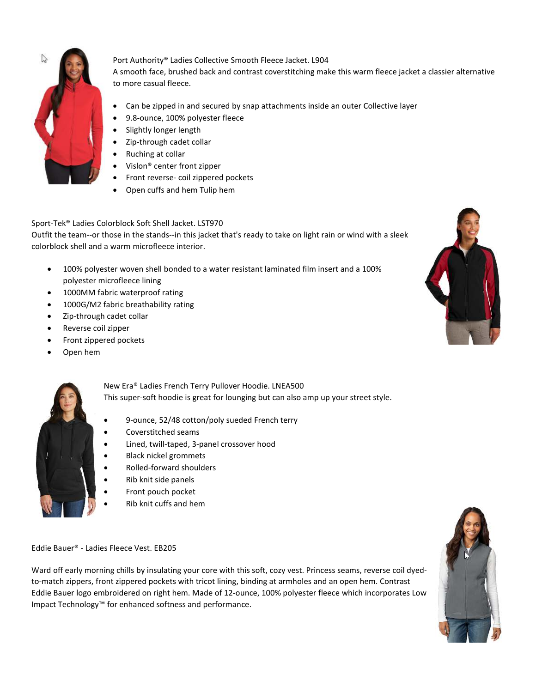

Port Authority® Ladies Collective Smooth Fleece Jacket. L904

A smooth face, brushed back and contrast coverstitching make this warm fleece jacket a classier alternative to more casual fleece.

- Can be zipped in and secured by snap attachments inside an outer Collective layer
- 9.8-ounce, 100% polyester fleece
- Slightly longer length
- Zip-through cadet collar
- Ruching at collar
- Vislon® center front zipper
- Front reverse- coil zippered pockets
- Open cuffs and hem Tulip hem

## Sport-Tek® Ladies Colorblock Soft Shell Jacket. LST970

Outfit the team--or those in the stands--in this jacket that's ready to take on light rain or wind with a sleek colorblock shell and a warm microfleece interior.

- 100% polyester woven shell bonded to a water resistant laminated film insert and a 100% polyester microfleece lining
- 1000MM fabric waterproof rating
- 1000G/M2 fabric breathability rating
- Zip-through cadet collar
- Reverse coil zipper
- Front zippered pockets
- Open hem



New Era® Ladies French Terry Pullover Hoodie. LNEA500 This super-soft hoodie is great for lounging but can also amp up your street style.

- 9-ounce, 52/48 cotton/poly sueded French terry
- Coverstitched seams
- Lined, twill-taped, 3-panel crossover hood
- Black nickel grommets
- Rolled-forward shoulders
- Rib knit side panels
- Front pouch pocket
- Rib knit cuffs and hem

Eddie Bauer® - Ladies Fleece Vest. EB205

Ward off early morning chills by insulating your core with this soft, cozy vest. Princess seams, reverse coil dyedto-match zippers, front zippered pockets with tricot lining, binding at armholes and an open hem. Contrast Eddie Bauer logo embroidered on right hem. Made of 12-ounce, 100% polyester fleece which incorporates Low Impact Technology™ for enhanced softness and performance.